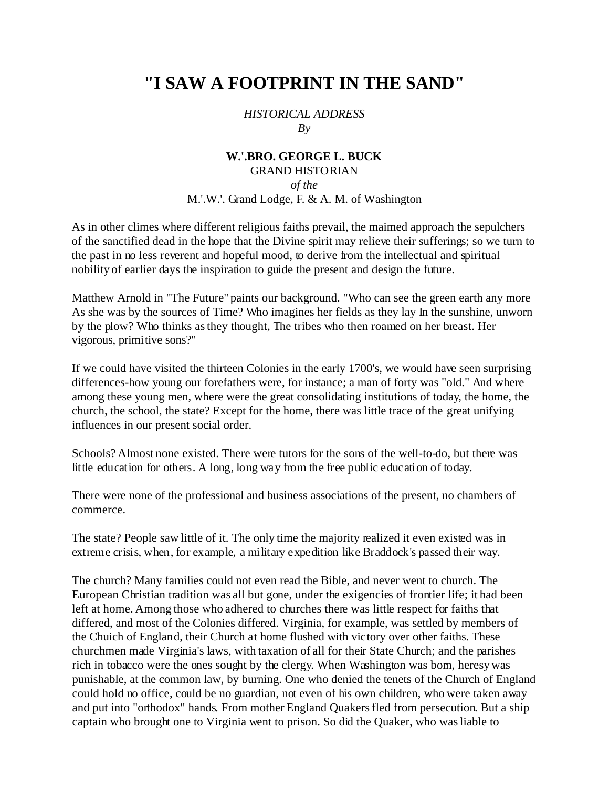## **"I SAW A FOOTPRINT IN THE SAND"**

## *HISTORICAL ADDRESS By*

## **W.'.BRO. GEORGE L. BUCK** GRAND HISTORIAN *of the* M.'.W.'. Grand Lodge, F. & A. M. of Washington

As in other climes where different religious faiths prevail, the maimed approach the sepulchers of the sanctified dead in the hope that the Divine spirit may relieve their sufferings; so we turn to the past in no less reverent and hopeful mood, to derive from the intellectual and spiritual nobility of earlier days the inspiration to guide the present and design the future.

Matthew Arnold in "The Future" paints our background. "Who can see the green earth any more As she was by the sources of Time? Who imagines her fields as they lay In the sunshine, unworn by the plow? Who thinks as they thought, The tribes who then roamed on her breast. Her vigorous, primitive sons?"

If we could have visited the thirteen Colonies in the early 1700's, we would have seen surprising differences-how young our forefathers were, for instance; a man of forty was "old." And where among these young men, where were the great consolidating institutions of today, the home, the church, the school, the state? Except for the home, there was little trace of the great unifying influences in our present social order.

Schools? Almost none existed. There were tutors for the sons of the well-to-do, but there was little education for others. A long, long way from the free public education of today.

There were none of the professional and business associations of the present, no chambers of commerce.

The state? People saw little of it. The only time the majority realized it even existed was in extreme crisis, when, for example, a military expedition like Braddock's passed their way.

The church? Many families could not even read the Bible, and never went to church. The European Christian tradition was all but gone, under the exigencies of frontier life; it had been left at home. Among those who adhered to churches there was little respect for faiths that differed, and most of the Colonies differed. Virginia, for example, was settled by members of the Chuich of England, their Church at home flushed with victory over other faiths. These churchmen made Virginia's laws, with taxation of all for their State Church; and the parishes rich in tobacco were the ones sought by the clergy. When Washington was born, heresy was punishable, at the common law, by burning. One who denied the tenets of the Church of England could hold no office, could be no guardian, not even of his own children, who were taken away and put into "orthodox" hands. From mother England Quakers fled from persecution. But a ship captain who brought one to Virginia went to prison. So did the Quaker, who was liable to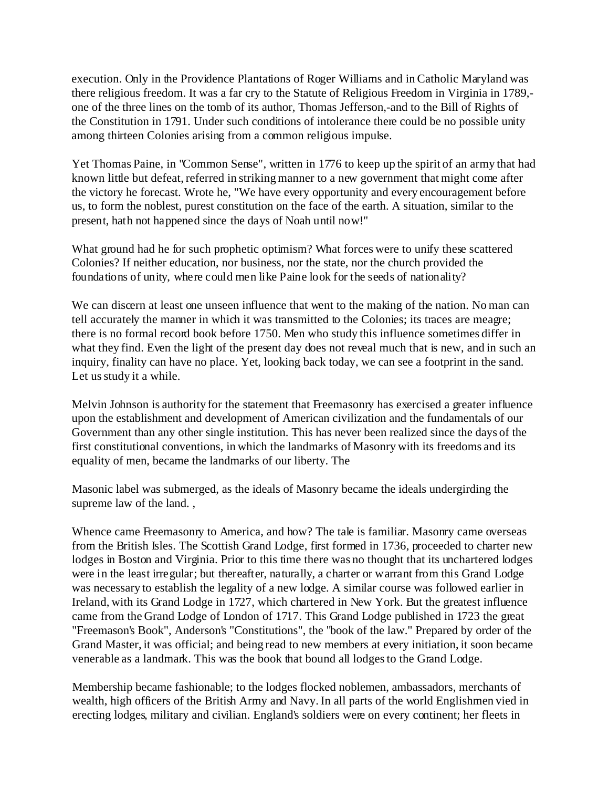execution. Only in the Providence Plantations of Roger Williams and in Catholic Maryland was there religious freedom. It was a far cry to the Statute of Religious Freedom in Virginia in 1789, one of the three lines on the tomb of its author, Thomas Jefferson,-and to the Bill of Rights of the Constitution in 1791. Under such conditions of intolerance there could be no possible unity among thirteen Colonies arising from a common religious impulse.

Yet Thomas Paine, in "Common Sense", written in 1776 to keep up the spirit of an army that had known little but defeat, referred in striking manner to a new government that might come after the victory he forecast. Wrote he, "We have every opportunity and every encouragement before us, to form the noblest, purest constitution on the face of the earth. A situation, similar to the present, hath not happened since the days of Noah until now!"

What ground had he for such prophetic optimism? What forces were to unify these scattered Colonies? If neither education, nor business, nor the state, nor the church provided the foundations of unity, where could men like Paine look for the seeds of nationality?

We can discern at least one unseen influence that went to the making of the nation. No man can tell accurately the manner in which it was transmitted to the Colonies; its traces are meagre; there is no formal record book before 1750. Men who study this influence sometimes differ in what they find. Even the light of the present day does not reveal much that is new, and in such an inquiry, finality can have no place. Yet, looking back today, we can see a footprint in the sand. Let us study it a while.

Melvin Johnson is authority for the statement that Freemasonry has exercised a greater influence upon the establishment and development of American civilization and the fundamentals of our Government than any other single institution. This has never been realized since the days of the first constitutional conventions, in which the landmarks of Masonry with its freedoms and its equality of men, became the landmarks of our liberty. The

Masonic label was submerged, as the ideals of Masonry became the ideals undergirding the supreme law of the land. ,

Whence came Freemasonry to America, and how? The tale is familiar. Masonry came overseas from the British Isles. The Scottish Grand Lodge, first formed in 1736, proceeded to charter new lodges in Boston and Virginia. Prior to this time there was no thought that its unchartered lodges were in the least irregular; but thereafter, naturally, a charter or warrant from this Grand Lodge was necessary to establish the legality of a new lodge. A similar course was followed earlier in Ireland, with its Grand Lodge in 1727, which chartered in New York. But the greatest influence came from the Grand Lodge of London of 1717. This Grand Lodge published in 1723 the great "Freemason's Book", Anderson's "Constitutions", the "book of the law." Prepared by order of the Grand Master, it was official; and being read to new members at every initiation, it soon became venerable as a landmark. This was the book that bound all lodges to the Grand Lodge.

Membership became fashionable; to the lodges flocked noblemen, ambassadors, merchants of wealth, high officers of the British Army and Navy. In all parts of the world Englishmen vied in erecting lodges, military and civilian. England's soldiers were on every continent; her fleets in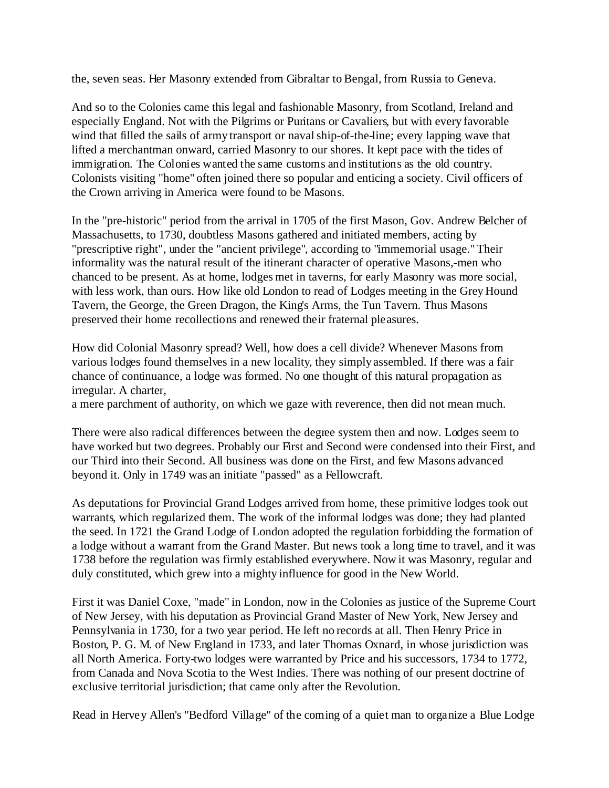the, seven seas. Her Masonry extended from Gibraltar to Bengal, from Russia to Geneva.

And so to the Colonies came this legal and fashionable Masonry, from Scotland, Ireland and especially England. Not with the Pilgrims or Puritans or Cavaliers, but with every favorable wind that filled the sails of army transport or naval ship-of-the-line; every lapping wave that lifted a merchantman onward, carried Masonry to our shores. It kept pace with the tides of immigration. The Colonies wanted the same customs and institutions as the old country. Colonists visiting "home" often joined there so popular and enticing a society. Civil officers of the Crown arriving in America were found to be Masons.

In the "pre-historic" period from the arrival in 1705 of the first Mason, Gov. Andrew Belcher of Massachusetts, to 1730, doubtless Masons gathered and initiated members, acting by "prescriptive right", under the "ancient privilege", according to "immemorial usage." Their informality was the natural result of the itinerant character of operative Masons,-men who chanced to be present. As at home, lodges met in taverns, for early Masonry was more social, with less work, than ours. How like old London to read of Lodges meeting in the Grey Hound Tavern, the George, the Green Dragon, the King's Arms, the Tun Tavern. Thus Masons preserved their home recollections and renewed their fraternal pleasures.

How did Colonial Masonry spread? Well, how does a cell divide? Whenever Masons from various lodges found themselves in a new locality, they simply assembled. If there was a fair chance of continuance, a lodge was formed. No one thought of this natural propagation as irregular. A charter,

a mere parchment of authority, on which we gaze with reverence, then did not mean much.

There were also radical differences between the degree system then and now. Lodges seem to have worked but two degrees. Probably our First and Second were condensed into their First, and our Third into their Second. All business was done on the First, and few Masons advanced beyond it. Only in 1749 was an initiate "passed" as a Fellowcraft.

As deputations for Provincial Grand Lodges arrived from home, these primitive lodges took out warrants, which regularized them. The work of the informal lodges was done; they had planted the seed. In 1721 the Grand Lodge of London adopted the regulation forbidding the formation of a lodge without a warrant from the Grand Master. But news took a long time to travel, and it was 1738 before the regulation was firmly established everywhere. Now it was Masonry, regular and duly constituted, which grew into a mighty influence for good in the New World.

First it was Daniel Coxe, "made" in London, now in the Colonies as justice of the Supreme Court of New Jersey, with his deputation as Provincial Grand Master of New York, New Jersey and Pennsylvania in 1730, for a two year period. He left no records at all. Then Henry Price in Boston, P. G. M. of New England in 1733, and later Thomas Oxnard, in whose jurisdiction was all North America. Forty-two lodges were warranted by Price and his successors, 1734 to 1772, from Canada and Nova Scotia to the West Indies. There was nothing of our present doctrine of exclusive territorial jurisdiction; that came only after the Revolution.

Read in Hervey Allen's "Bedford Village" of the coming of a quiet man to organize a Blue Lodge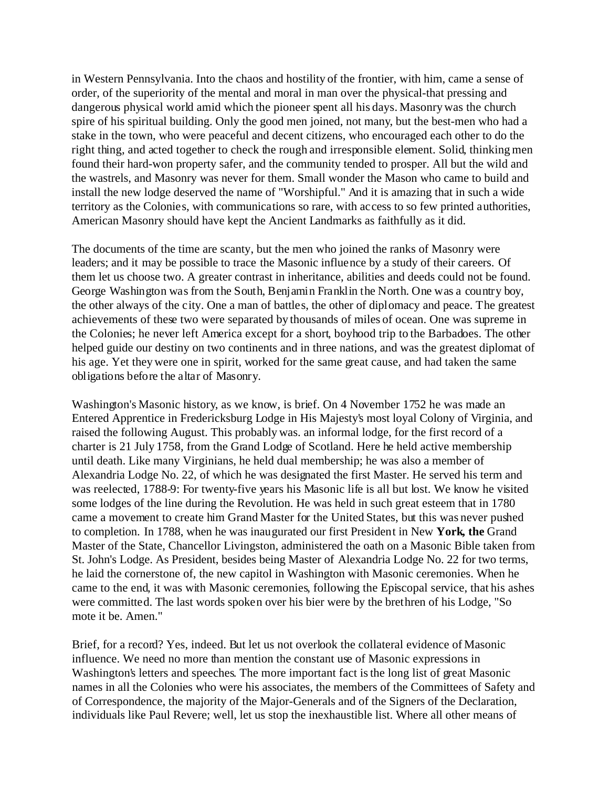in Western Pennsylvania. Into the chaos and hostility of the frontier, with him, came a sense of order, of the superiority of the mental and moral in man over the physical-that pressing and dangerous physical world amid which the pioneer spent all his days. Masonry was the church spire of his spiritual building. Only the good men joined, not many, but the best-men who had a stake in the town, who were peaceful and decent citizens, who encouraged each other to do the right thing, and acted together to check the rough and irresponsible element. Solid, thinking men found their hard-won property safer, and the community tended to prosper. All but the wild and the wastrels, and Masonry was never for them. Small wonder the Mason who came to build and install the new lodge deserved the name of "Worshipful." And it is amazing that in such a wide territory as the Colonies, with communications so rare, with access to so few printed authorities, American Masonry should have kept the Ancient Landmarks as faithfully as it did.

The documents of the time are scanty, but the men who joined the ranks of Masonry were leaders; and it may be possible to trace the Masonic influence by a study of their careers. Of them let us choose two. A greater contrast in inheritance, abilities and deeds could not be found. George Washington was from the South, Benjamin Franklin the North. One was a country boy, the other always of the city. One a man of battles, the other of diplomacy and peace. The greatest achievements of these two were separated by thousands of miles of ocean. One was supreme in the Colonies; he never left America except for a short, boyhood trip to the Barbadoes. The other helped guide our destiny on two continents and in three nations, and was the greatest diplomat of his age. Yet they were one in spirit, worked for the same great cause, and had taken the same obligations before the altar of Masonry.

Washington's Masonic history, as we know, is brief. On 4 November 1752 he was made an Entered Apprentice in Fredericksburg Lodge in His Majesty's most loyal Colony of Virginia, and raised the following August. This probably was. an informal lodge, for the first record of a charter is 21 July 1758, from the Grand Lodge of Scotland. Here he held active membership until death. Like many Virginians, he held dual membership; he was also a member of Alexandria Lodge No. 22, of which he was designated the first Master. He served his term and was reelected, 1788-9: For twenty-five years his Masonic life is all but lost. We know he visited some lodges of the line during the Revolution. He was held in such great esteem that in 1780 came a movement to create him Grand Master for the United States, but this was never pushed to completion. In 1788, when he was inaugurated our first President in New **York, the** Grand Master of the State, Chancellor Livingston, administered the oath on a Masonic Bible taken from St. John's Lodge. As President, besides being Master of Alexandria Lodge No. 22 for two terms, he laid the cornerstone of, the new capitol in Washington with Masonic ceremonies. When he came to the end, it was with Masonic ceremonies, following the Episcopal service, that his ashes were committed. The last words spoken over his bier were by the brethren of his Lodge, "So mote it be. Amen."

Brief, for a record? Yes, indeed. But let us not overlook the collateral evidence of Masonic influence. We need no more than mention the constant use of Masonic expressions in Washington's letters and speeches. The more important fact is the long list of great Masonic names in all the Colonies who were his associates, the members of the Committees of Safety and of Correspondence, the majority of the Major-Generals and of the Signers of the Declaration, individuals like Paul Revere; well, let us stop the inexhaustible list. Where all other means of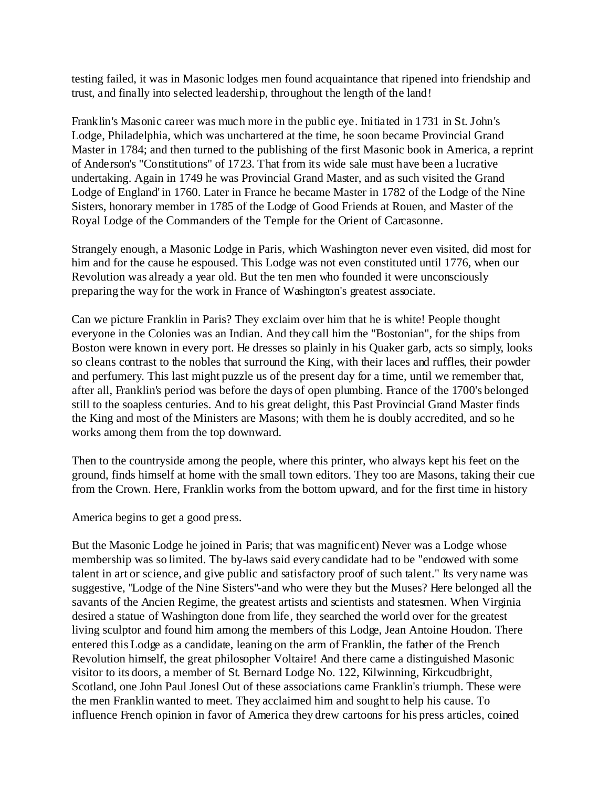testing failed, it was in Masonic lodges men found acquaintance that ripened into friendship and trust, and finally into selected leadership, throughout the length of the land!

Franklin's Masonic career was much more in the public eye. Initiated in 1731 in St. John's Lodge, Philadelphia, which was unchartered at the time, he soon became Provincial Grand Master in 1784; and then turned to the publishing of the first Masonic book in America, a reprint of Anderson's "Constitutions" of 1723. That from its wide sale must have been a lucrative undertaking. Again in 1749 he was Provincial Grand Master, and as such visited the Grand Lodge of England' in 1760. Later in France he became Master in 1782 of the Lodge of the Nine Sisters, honorary member in 1785 of the Lodge of Good Friends at Rouen, and Master of the Royal Lodge of the Commanders of the Temple for the Orient of Carcasonne.

Strangely enough, a Masonic Lodge in Paris, which Washington never even visited, did most for him and for the cause he espoused. This Lodge was not even constituted until 1776, when our Revolution was already a year old. But the ten men who founded it were unconsciously preparing the way for the work in France of Washington's greatest associate.

Can we picture Franklin in Paris? They exclaim over him that he is white! People thought everyone in the Colonies was an Indian. And they call him the "Bostonian", for the ships from Boston were known in every port. He dresses so plainly in his Quaker garb, acts so simply, looks so cleans contrast to the nobles that surround the King, with their laces and ruffles, their powder and perfumery. This last might puzzle us of the present day for a time, until we remember that, after all, Franklin's period was before the days of open plumbing. France of the 1700's belonged still to the soapless centuries. And to his great delight, this Past Provincial Grand Master finds the King and most of the Ministers are Masons; with them he is doubly accredited, and so he works among them from the top downward.

Then to the countryside among the people, where this printer, who always kept his feet on the ground, finds himself at home with the small town editors. They too are Masons, taking their cue from the Crown. Here, Franklin works from the bottom upward, and for the first time in history

America begins to get a good press.

But the Masonic Lodge he joined in Paris; that was magnificent) Never was a Lodge whose membership was so limited. The by-laws said every candidate had to be "endowed with some talent in art or science, and give public and satisfactory proof of such talent." Its very name was suggestive, "Lodge of the Nine Sisters"-and who were they but the Muses? Here belonged all the savants of the Ancien Regime, the greatest artists and scientists and statesmen. When Virginia desired a statue of Washington done from life, they searched the world over for the greatest living sculptor and found him among the members of this Lodge, Jean Antoine Houdon. There entered this Lodge as a candidate, leaning on the arm of Franklin, the father of the French Revolution himself, the great philosopher Voltaire! And there came a distinguished Masonic visitor to its doors, a member of St. Bernard Lodge No. 122, Kilwinning, Kirkcudbright, Scotland, one John Paul Jonesl Out of these associations came Franklin's triumph. These were the men Franklin wanted to meet. They acclaimed him and sought to help his cause. To influence French opinion in favor of America they drew cartoons for his press articles, coined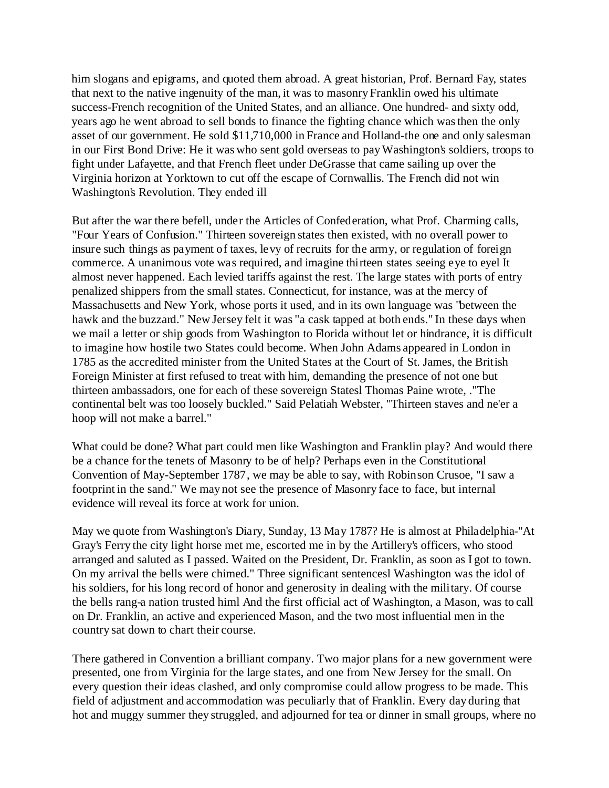him slogans and epigrams, and quoted them abroad. A great historian, Prof. Bernard Fay, states that next to the native ingenuity of the man, it was to masonry Franklin owed his ultimate success-French recognition of the United States, and an alliance. One hundred- and sixty odd, years ago he went abroad to sell bonds to finance the fighting chance which was then the only asset of our government. He sold \$11,710,000 in France and Holland-the one and only salesman in our First Bond Drive: He it was who sent gold overseas to pay Washington's soldiers, troops to fight under Lafayette, and that French fleet under DeGrasse that came sailing up over the Virginia horizon at Yorktown to cut off the escape of Cornwallis. The French did not win Washington's Revolution. They ended ill

But after the war there befell, under the Articles of Confederation, what Prof. Charming calls, "Four Years of Confusion." Thirteen sovereign states then existed, with no overall power to insure such things as payment of taxes, levy of recruits for the army, or regulation of foreign commerce. A unanimous vote was required, and imagine thirteen states seeing eye to eyel It almost never happened. Each levied tariffs against the rest. The large states with ports of entry penalized shippers from the small states. Connecticut, for instance, was at the mercy of Massachusetts and New York, whose ports it used, and in its own language was "between the hawk and the buzzard." New Jersey felt it was "a cask tapped at both ends." In these days when we mail a letter or ship goods from Washington to Florida without let or hindrance, it is difficult to imagine how hostile two States could become. When John Adams appeared in London in 1785 as the accredited minister from the United States at the Court of St. James, the British Foreign Minister at first refused to treat with him, demanding the presence of not one but thirteen ambassadors, one for each of these sovereign Statesl Thomas Paine wrote, ."The continental belt was too loosely buckled." Said Pelatiah Webster, "Thirteen staves and ne'er a hoop will not make a barrel."

What could be done? What part could men like Washington and Franklin play? And would there be a chance for the tenets of Masonry to be of help? Perhaps even in the Constitutional Convention of May-September 1787, we may be able to say, with Robinson Crusoe, "I saw a footprint in the sand." We may not see the presence of Masonry face to face, but internal evidence will reveal its force at work for union.

May we quote from Washington's Diary, Sunday, 13 May 1787? He is almost at Philadelphia-"At Gray's Ferry the city light horse met me, escorted me in by the Artillery's officers, who stood arranged and saluted as I passed. Waited on the President, Dr. Franklin, as soon as I got to town. On my arrival the bells were chimed." Three significant sentencesl Washington was the idol of his soldiers, for his long record of honor and generosity in dealing with the military. Of course the bells rang-a nation trusted himl And the first official act of Washington, a Mason, was to call on Dr. Franklin, an active and experienced Mason, and the two most influential men in the country sat down to chart their course.

There gathered in Convention a brilliant company. Two major plans for a new government were presented, one from Virginia for the large states, and one from New Jersey for the small. On every question their ideas clashed, and only compromise could allow progress to be made. This field of adjustment and accommodation was peculiarly that of Franklin. Every day during that hot and muggy summer they struggled, and adjourned for tea or dinner in small groups, where no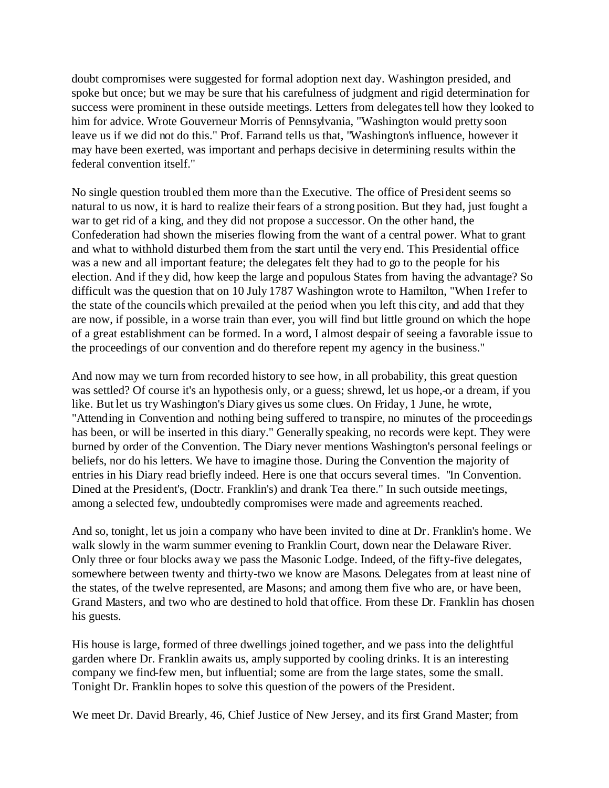doubt compromises were suggested for formal adoption next day. Washington presided, and spoke but once; but we may be sure that his carefulness of judgment and rigid determination for success were prominent in these outside meetings. Letters from delegates tell how they looked to him for advice. Wrote Gouverneur Morris of Pennsylvania, "Washington would pretty soon leave us if we did not do this." Prof. Farrand tells us that, "Washington's influence, however it may have been exerted, was important and perhaps decisive in determining results within the federal convention itself."

No single question troubled them more than the Executive. The office of President seems so natural to us now, it is hard to realize their fears of a strong position. But they had, just fought a war to get rid of a king, and they did not propose a successor. On the other hand, the Confederation had shown the miseries flowing from the want of a central power. What to grant and what to withhold disturbed them from the start until the very end. This Presidential office was a new and all important feature; the delegates felt they had to go to the people for his election. And if they did, how keep the large and populous States from having the advantage? So difficult was the question that on 10 July 1787 Washington wrote to Hamilton, "When I refer to the state of the councils which prevailed at the period when you left this city, and add that they are now, if possible, in a worse train than ever, you will find but little ground on which the hope of a great establishment can be formed. In a word, I almost despair of seeing a favorable issue to the proceedings of our convention and do therefore repent my agency in the business."

And now may we turn from recorded history to see how, in all probability, this great question was settled? Of course it's an hypothesis only, or a guess; shrewd, let us hope, or a dream, if you like. But let us try Washington's Diary gives us some clues. On Friday, 1 June, he wrote, "Attending in Convention and nothing being suffered to transpire, no minutes of the proceedings has been, or will be inserted in this diary." Generally speaking, no records were kept. They were burned by order of the Convention. The Diary never mentions Washington's personal feelings or beliefs, nor do his letters. We have to imagine those. During the Convention the majority of entries in his Diary read briefly indeed. Here is one that occurs several times. "In Convention. Dined at the President's, (Doctr. Franklin's) and drank Tea there." In such outside meetings, among a selected few, undoubtedly compromises were made and agreements reached.

And so, tonight, let us join a company who have been invited to dine at Dr. Franklin's home. We walk slowly in the warm summer evening to Franklin Court, down near the Delaware River. Only three or four blocks away we pass the Masonic Lodge. Indeed, of the fifty-five delegates, somewhere between twenty and thirty-two we know are Masons. Delegates from at least nine of the states, of the twelve represented, are Masons; and among them five who are, or have been, Grand Masters, and two who are destined to hold that office. From these Dr. Franklin has chosen his guests.

His house is large, formed of three dwellings joined together, and we pass into the delightful garden where Dr. Franklin awaits us, amply supported by cooling drinks. It is an interesting company we find-few men, but influential; some are from the large states, some the small. Tonight Dr. Franklin hopes to solve this question of the powers of the President.

We meet Dr. David Brearly, 46, Chief Justice of New Jersey, and its first Grand Master; from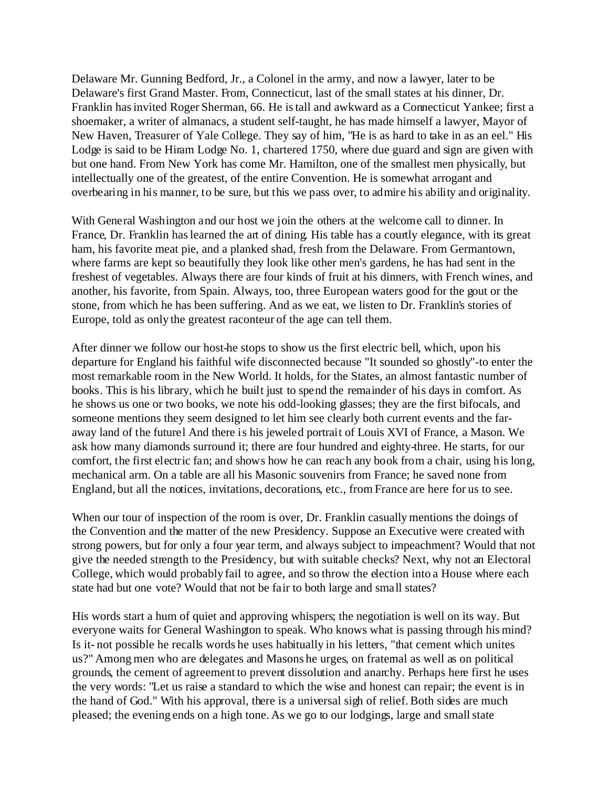Delaware Mr. Gunning Bedford, Jr., a Colonel in the army, and now a lawyer, later to be Delaware's first Grand Master. From, Connecticut, last of the small states at his dinner, Dr. Franklin has invited Roger Sherman, 66. He is tall and awkward as a Connecticut Yankee; first a shoemaker, a writer of almanacs, a student self-taught, he has made himself a lawyer, Mayor of New Haven, Treasurer of Yale College. They say of him, "He is as hard to take in as an eel." His Lodge is said to be Hiram Lodge No. 1, chartered 1750, where due guard and sign are given with but one hand. From New York has come Mr. Hamilton, one of the smallest men physically, but intellectually one of the greatest, of the entire Convention. He is somewhat arrogant and overbearing in his manner, to be sure, but this we pass over, to admire his ability and originality.

With General Washington and our host we join the others at the welcome call to dinner. In France, Dr. Franklin has learned the art of dining. His table has a courtly elegance, with its great ham, his favorite meat pie, and a planked shad, fresh from the Delaware. From Germantown, where farms are kept so beautifully they look like other men's gardens, he has had sent in the freshest of vegetables. Always there are four kinds of fruit at his dinners, with French wines, and another, his favorite, from Spain. Always, too, three European waters good for the gout or the stone, from which he has been suffering. And as we eat, we listen to Dr. Franklin's stories of Europe, told as only the greatest raconteur of the age can tell them.

After dinner we follow our host-he stops to show us the first electric bell, which, upon his departure for England his faithful wife disconnected because "It sounded so ghostly"-to enter the most remarkable room in the New World. It holds, for the States, an almost fantastic number of books. This is his library, which he built just to spend the remainder of his days in comfort. As he shows us one or two books, we note his odd-looking glasses; they are the first bifocals, and someone mentions they seem designed to let him see clearly both current events and the faraway land of the futurel And there is his jeweled portrait of Louis XVI of France, a Mason. We ask how many diamonds surround it; there are four hundred and eighty-three. He starts, for our comfort, the first electric fan; and shows how he can reach any book from a chair, using his long, mechanical arm. On a table are all his Masonic souvenirs from France; he saved none from England, but all the notices, invitations, decorations, etc., from France are here for us to see.

When our tour of inspection of the room is over, Dr. Franklin casually mentions the doings of the Convention and the matter of the new Presidency. Suppose an Executive were created with strong powers, but for only a four year term, and always subject to impeachment? Would that not give the needed strength to the Presidency, but with suitable checks? Next, why not an Electoral College, which would probably fail to agree, and so throw the election into a House where each state had but one vote? Would that not be fair to both large and small states?

His words start a hum of quiet and approving whispers; the negotiation is well on its way. But everyone waits for General Washington to speak. Who knows what is passing through his mind? Is it- not possible he recalls words he uses habitually in his letters, "that cement which unites us?" Among men who are delegates and Masons he urges, on fraternal as well as on political grounds, the cement of agreement to prevent dissolution and anarchy. Perhaps here first he uses the very words: "Let us raise a standard to which the wise and honest can repair; the event is in the hand of God." With his approval, there is a universal sigh of relief. Both sides are much pleased; the evening ends on a high tone. As we go to our lodgings, large and small state